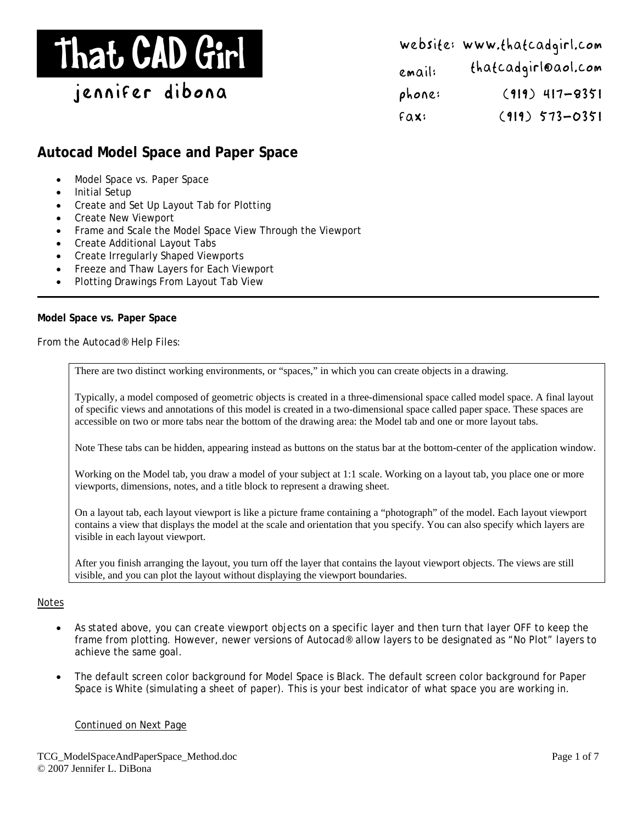# That CAD Girl

jennifer dibona

Website: www.thatcadgirl.com Email: thatcadgirl@aol.com phone: (919) 417-8351  $Fax:$  (919) 573-0351

# **Autocad Model Space and Paper Space**

- Model Space vs. Paper Space
- Initial Setup
- Create and Set Up Layout Tab for Plotting
- Create New Viewport
- Frame and Scale the Model Space View Through the Viewport
- Create Additional Layout Tabs
- Create Irregularly Shaped Viewports
- Freeze and Thaw Layers for Each Viewport
- Plotting Drawings From Layout Tab View

#### **Model Space vs. Paper Space**

From the Autocad® Help Files:

There are two distinct working environments, or "spaces," in which you can create objects in a drawing.

Typically, a model composed of geometric objects is created in a three-dimensional space called model space. A final layout of specific views and annotations of this model is created in a two-dimensional space called paper space. These spaces are accessible on two or more tabs near the bottom of the drawing area: the Model tab and one or more layout tabs.

Note These tabs can be hidden, appearing instead as buttons on the status bar at the bottom-center of the application window.

Working on the Model tab, you draw a model of your subject at 1:1 scale. Working on a layout tab, you place one or more viewports, dimensions, notes, and a title block to represent a drawing sheet.

On a layout tab, each layout viewport is like a picture frame containing a "photograph" of the model. Each layout viewport contains a view that displays the model at the scale and orientation that you specify. You can also specify which layers are visible in each layout viewport.

After you finish arranging the layout, you turn off the layer that contains the layout viewport objects. The views are still visible, and you can plot the layout without displaying the viewport boundaries.

#### Notes

- As stated above, you can create viewport objects on a specific layer and then turn that layer OFF to keep the frame from plotting. However, newer versions of Autocad® allow layers to be designated as "No Plot" layers to achieve the same goal.
- The default screen color background for Model Space is Black. The default screen color background for Paper Space is White (simulating a sheet of paper). This is your best indicator of what space you are working in.

#### Continued on Next Page

TCG\_ModelSpaceAndPaperSpace\_Method.doc © 2007 Jennifer L. DiBona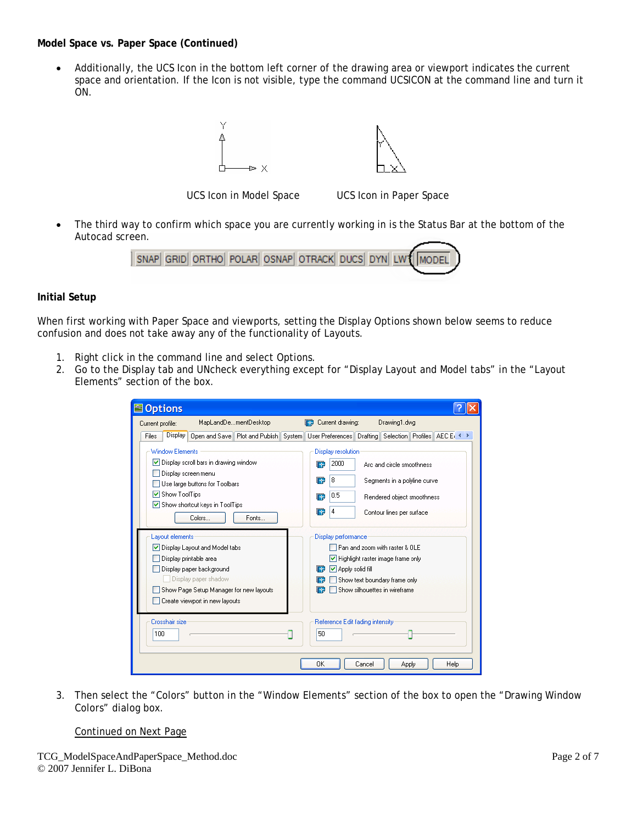**Model Space vs. Paper Space (Continued)** 

• Additionally, the UCS Icon in the bottom left corner of the drawing area or viewport indicates the current space and orientation. If the Icon is not visible, type the command UCSICON at the command line and turn it ON.





UCS Icon in Model Space UCS Icon in Paper Space

The third way to confirm which space you are currently working in is the Status Bar at the bottom of the Autocad screen.



## **Initial Setup**

When first working with Paper Space and viewports, setting the Display Options shown below seems to reduce confusion and does not take away any of the functionality of Layouts.

- 1. Right click in the command line and select Options.
- 2. Go to the Display tab and UNcheck everything except for "Display Layout and Model tabs" in the "Layout Elements" section of the box.

| <b>S</b> Options                                                                                                               |                                                                                                                                                          |
|--------------------------------------------------------------------------------------------------------------------------------|----------------------------------------------------------------------------------------------------------------------------------------------------------|
| MapLandDementDesktop<br>Current profile:                                                                                       | Current drawing:<br>Drawing1.dwg<br><b>IF</b>                                                                                                            |
| Display<br>Open and Save Plot and Publish<br>System <sup>1</sup><br>Files                                                      | User Preferences   Drafting   Selection   Profiles   AEC Er                                                                                              |
| <b>Window Elements</b><br>Display scroll bars in drawing window<br>Display screen menu<br>Use large buttons for Toolbars       | Display resolution<br>2000<br>Arc and circle smoothness<br>T÷.<br>8<br>圈<br>Segments in a polyline curve                                                 |
| Show ToolTips<br>Show shortcut keys in ToolTips<br>Colors<br>Fonts                                                             | 0.5<br>圈<br>Rendered object smoothness<br>ஈ<br>4<br>Contour lines per surface                                                                            |
| Lavout elements<br>Display Layout and Model tabs<br>Display printable area<br>Display paper background<br>Display paper shadow | Display performance<br>Pan and zoom with raster & OLE<br>Highlight raster image frame only<br>□ Apply solid fill<br>lea<br>Show text boundary frame only |
| Show Page Setup Manager for new layouts<br>Create viewport in new layouts                                                      | Show silhouettes in wireframe                                                                                                                            |
| Crosshair size<br>100                                                                                                          | Reference Edit fading intensity<br>50                                                                                                                    |
|                                                                                                                                | OK<br>Cancel<br>Help<br>Apply                                                                                                                            |

3. Then select the "Colors" button in the "Window Elements" section of the box to open the "Drawing Window Colors" dialog box.

# Continued on Next Page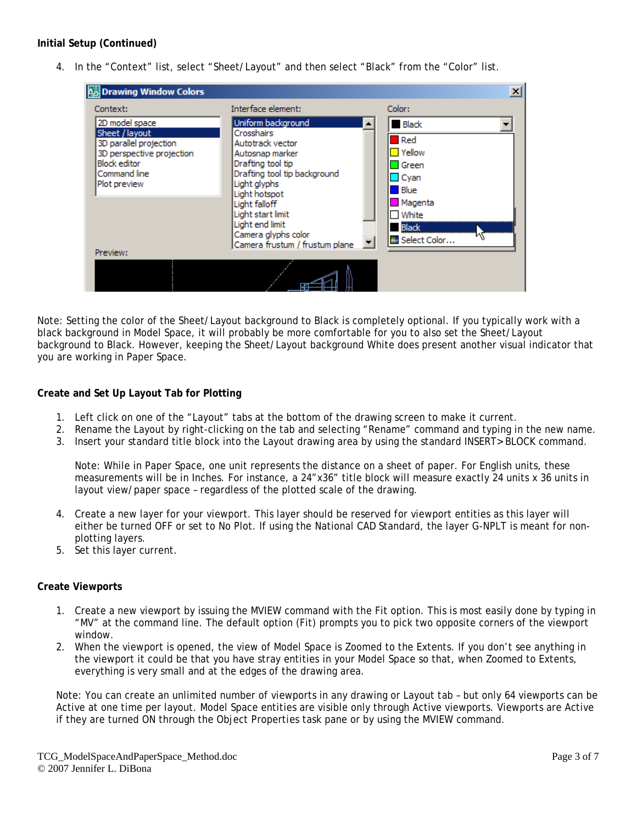# **Initial Setup (Continued)**

4. In the "Context" list, select "Sheet/Layout" and then select "Black" from the "Color" list.



Note: Setting the color of the Sheet/Layout background to Black is completely optional. If you typically work with a black background in Model Space, it will probably be more comfortable for you to also set the Sheet/Layout background to Black. However, keeping the Sheet/Layout background White does present another visual indicator that you are working in Paper Space.

#### **Create and Set Up Layout Tab for Plotting**

- 1. Left click on one of the "Layout" tabs at the bottom of the drawing screen to make it current.
- 2. Rename the Layout by right-clicking on the tab and selecting "Rename" command and typing in the new name.
- 3. Insert your standard title block into the Layout drawing area by using the standard INSERT> BLOCK command.

Note: While in Paper Space, one unit represents the distance on a sheet of paper. For English units, these measurements will be in Inches. For instance, a 24"x36" title block will measure exactly 24 units x 36 units in layout view/paper space – regardless of the plotted scale of the drawing.

- 4. Create a new layer for your viewport. This layer should be reserved for viewport entities as this layer will either be turned OFF or set to No Plot. If using the National CAD Standard, the layer G-NPLT is meant for nonplotting layers.
- 5. Set this layer current.

#### **Create Viewports**

- 1. Create a new viewport by issuing the MVIEW command with the Fit option. This is most easily done by typing in "MV" at the command line. The default option (Fit) prompts you to pick two opposite corners of the viewport window.
- 2. When the viewport is opened, the view of Model Space is Zoomed to the Extents. If you don't see anything in the viewport it could be that you have stray entities in your Model Space so that, when Zoomed to Extents, everything is very small and at the edges of the drawing area.

Note: You can create an unlimited number of viewports in any drawing or Layout tab – but only 64 viewports can be Active at one time per layout. Model Space entities are visible only through Active viewports. Viewports are Active if they are turned ON through the Object Properties task pane or by using the MVIEW command.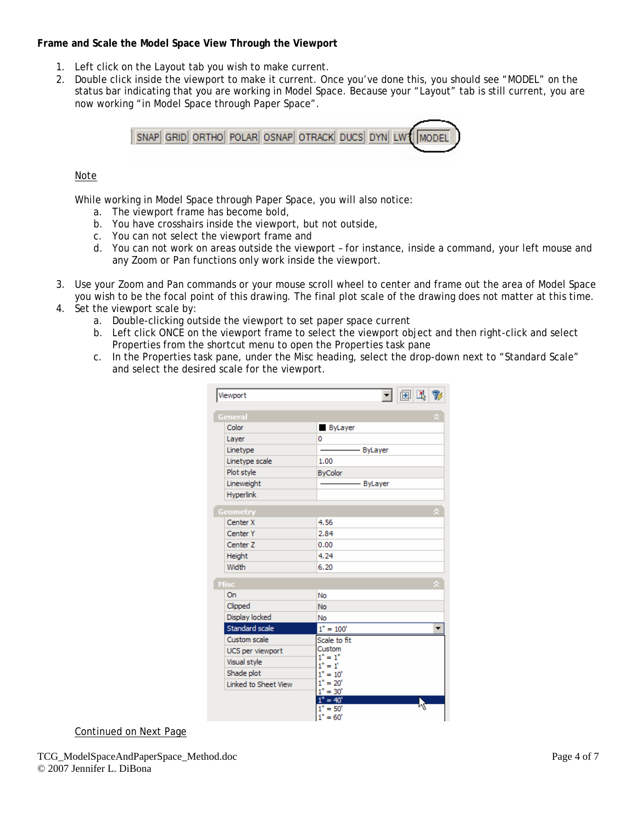# **Frame and Scale the Model Space View Through the Viewport**

- 1. Left click on the Layout tab you wish to make current.
- 2. Double click inside the viewport to make it current. Once you've done this, you should see "MODEL" on the status bar indicating that you are working in Model Space. Because your "Layout" tab is still current, you are now working "in Model Space through Paper Space".



# Note

While working in Model Space through Paper Space, you will also notice:

- a. The viewport frame has become bold,
- b. You have crosshairs inside the viewport, but not outside,
- c. You can not select the viewport frame and
- d. You can not work on areas outside the viewport for instance, inside a command, your left mouse and any Zoom or Pan functions only work inside the viewport.
- 3. Use your Zoom and Pan commands or your mouse scroll wheel to center and frame out the area of Model Space you wish to be the focal point of this drawing. The final plot scale of the drawing does not matter at this time.
- 4. Set the viewport scale by:
	- a. Double-clicking outside the viewport to set paper space current
	- b. Left click ONCE on the viewport frame to select the viewport object and then right-click and select Properties from the shortcut menu to open the Properties task pane
	- c. In the Properties task pane, under the Misc heading, select the drop-down next to "Standard Scale" and select the desired scale for the viewport.

| Viewport                                                                               | 图<br>$\mathbb{R}$                                                                                                                       |  |
|----------------------------------------------------------------------------------------|-----------------------------------------------------------------------------------------------------------------------------------------|--|
| General                                                                                |                                                                                                                                         |  |
| Color                                                                                  | <b>ByLayer</b><br>ı                                                                                                                     |  |
| Layer                                                                                  | 0                                                                                                                                       |  |
| Linetype                                                                               | - ByLayer                                                                                                                               |  |
| Linetype scale                                                                         | 1.00                                                                                                                                    |  |
| Plot style                                                                             | <b>ByColor</b>                                                                                                                          |  |
| Lineweight                                                                             | ByLayer                                                                                                                                 |  |
| Hyperlink                                                                              |                                                                                                                                         |  |
| Geometry                                                                               |                                                                                                                                         |  |
| Center X                                                                               | 4.56                                                                                                                                    |  |
| Center <sub>Y</sub>                                                                    | 2.84                                                                                                                                    |  |
| Center <sub>7</sub>                                                                    | 0.00                                                                                                                                    |  |
| Height                                                                                 | 4.24                                                                                                                                    |  |
| Width                                                                                  | 6.20                                                                                                                                    |  |
| Misc                                                                                   |                                                                                                                                         |  |
| On                                                                                     | No                                                                                                                                      |  |
| Clipped                                                                                | <b>No</b>                                                                                                                               |  |
| Display locked                                                                         | No                                                                                                                                      |  |
| Standard scale                                                                         | $1" = 100'$                                                                                                                             |  |
| Custom scale<br>UCS per viewport<br>Visual style<br>Shade plot<br>Linked to Sheet View | Scale to fit<br>Custom<br>$1" = 1"$<br>$1" = 1'$<br>$1" = 10'$<br>$1" = 20"$<br>$1" = 30'$<br>$1" = 40'$<br>$= 50'$<br>1"<br>$1" = 60'$ |  |

Continued on Next Page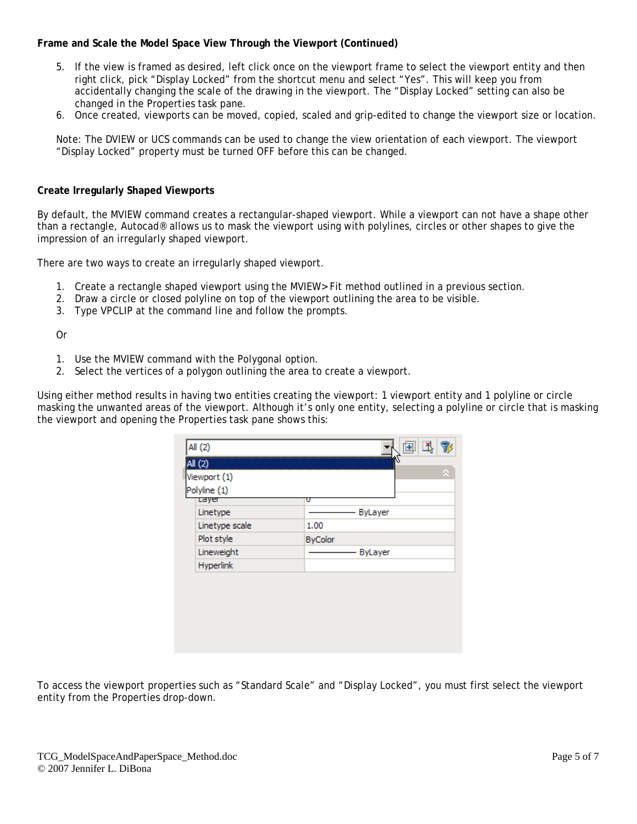# **Frame and Scale the Model Space View Through the Viewport (Continued)**

- 5. If the view is framed as desired, left click once on the viewport frame to select the viewport entity and then right click, pick "Display Locked" from the shortcut menu and select "Yes". This will keep you from accidentally changing the scale of the drawing in the viewport. The "Display Locked" setting can also be changed in the Properties task pane.
- 6. Once created, viewports can be moved, copied, scaled and grip-edited to change the viewport size or location.

Note: The DVIEW or UCS commands can be used to change the view orientation of each viewport. The viewport "Display Locked" property must be turned OFF before this can be changed.

#### **Create Irregularly Shaped Viewports**

By default, the MVIEW command creates a rectangular-shaped viewport. While a viewport can not have a shape other than a rectangle, Autocad® allows us to mask the viewport using with polylines, circles or other shapes to give the impression of an irregularly shaped viewport.

There are two ways to create an irregularly shaped viewport.

- 1. Create a rectangle shaped viewport using the MVIEW> Fit method outlined in a previous section.
- 2. Draw a circle or closed polyline on top of the viewport outlining the area to be visible.
- 3. Type VPCLIP at the command line and follow the prompts.

Or

- 1. Use the MVIEW command with the Polygonal option.
- 2. Select the vertices of a polygon outlining the area to create a viewport.

Using either method results in having two entities creating the viewport: 1 viewport entity and 1 polyline or circle masking the unwanted areas of the viewport. Although it's only one entity, selecting a polyline or circle that is masking the viewport and opening the Properties task pane shows this:

| Linetype       | ByLayer        |
|----------------|----------------|
| Linetype scale | 1.00           |
| Plot style     | <b>ByColor</b> |
| Lineweight     | ByLayer        |
| Hyperlink      |                |
|                |                |

To access the viewport properties such as "Standard Scale" and "Display Locked", you must first select the viewport entity from the Properties drop-down.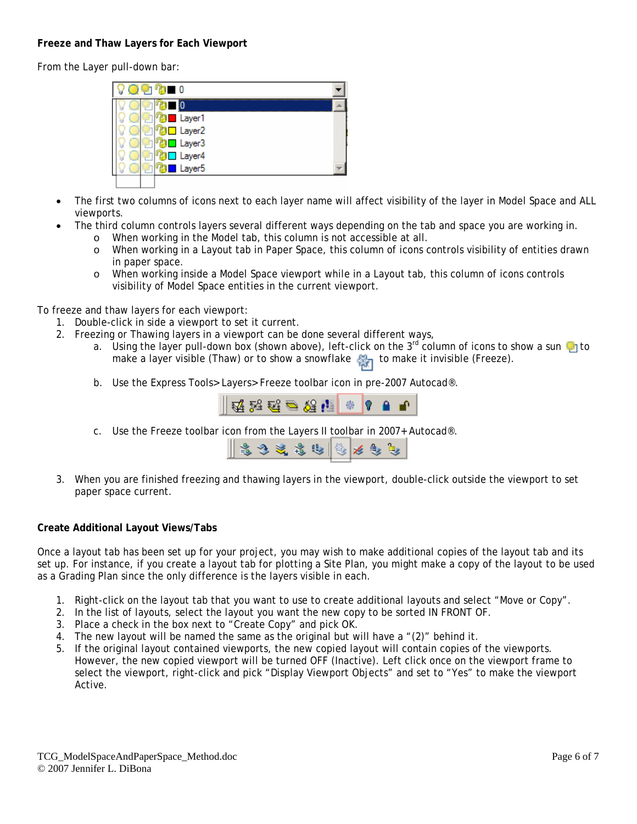# **Freeze and Thaw Layers for Each Viewport**

From the Layer pull-down bar:

| $\blacksquare$ 0<br><b>START START</b> |  |
|----------------------------------------|--|
|                                        |  |
| Layer1                                 |  |
| Layer <sub>2</sub>                     |  |
| Layer <sub>3</sub>                     |  |
| Layer4                                 |  |
| Layer <sub>5</sub>                     |  |
|                                        |  |

- The first two columns of icons next to each layer name will affect visibility of the layer in Model Space and ALL viewports.
- The third column controls layers several different ways depending on the tab and space you are working in.
	- o When working in the Model tab, this column is not accessible at all.
	- o When working in a Layout tab in Paper Space, this column of icons controls visibility of entities drawn in paper space.
	- o When working inside a Model Space viewport while in a Layout tab, this column of icons controls visibility of Model Space entities in the current viewport.

To freeze and thaw layers for each viewport:

- 1. Double-click in side a viewport to set it current.
- 2. Freezing or Thawing layers in a viewport can be done several different ways,
	- a. Using the layer pull-down box (shown above), left-click on the  $3^{rd}$  column of icons to show a sun to make a layer visible (Thaw) or to show a snowflake  $\frac{1}{\sqrt{2}}$  to make it invisible (Freeze).
	- b. Use the Express Tools> Layers> Freeze toolbar icon in pre-2007 Autocad®.



c. Use the Freeze toolbar icon from the Layers II toolbar in 2007+ Autocad®.

| $\ $ is the set of $\ $ is the set of $\ $ |  |
|--------------------------------------------|--|
|--------------------------------------------|--|

3. When you are finished freezing and thawing layers in the viewport, double-click outside the viewport to set paper space current.

#### **Create Additional Layout Views/Tabs**

Once a layout tab has been set up for your project, you may wish to make additional copies of the layout tab and its set up. For instance, if you create a layout tab for plotting a Site Plan, you might make a copy of the layout to be used as a Grading Plan since the only difference is the layers visible in each.

- 1. Right-click on the layout tab that you want to use to create additional layouts and select "Move or Copy".
- 2. In the list of layouts, select the layout you want the new copy to be sorted IN FRONT OF.
- 3. Place a check in the box next to "Create Copy" and pick OK.
- 4. The new layout will be named the same as the original but will have a  $\ell(2)$ " behind it.
- 5. If the original layout contained viewports, the new copied layout will contain copies of the viewports. However, the new copied viewport will be turned OFF (Inactive). Left click once on the viewport frame to select the viewport, right-click and pick "Display Viewport Objects" and set to "Yes" to make the viewport Active.